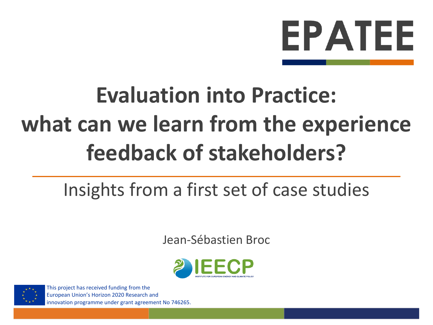# **EPATEE**

# **Evaluation into Practice: what can we learn from the experience feedback of stakeholders?**

# Insights from a first set of case studies

Jean-Sébastien Broc





This project has received funding from the European Union's Horizon 2020 Research and innovation programme under grant agreement No 746265.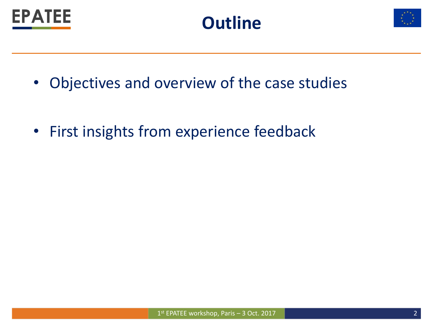





- Objectives and overview of the case studies
- First insights from experience feedback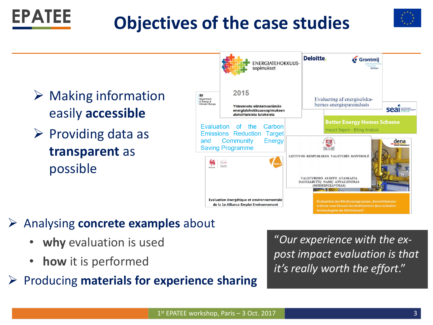



- $\triangleright$  Making information easily **accessible**
- $\triangleright$  Providing data as **transparent** as possible

**EPATEE** 



#### Analysing **concrete examples** about

- **why** evaluation is used
- **how** it is performed
- Producing **materials for experience sharing**

"*Our experience with the expost impact evaluation is that it's really worth the effort*."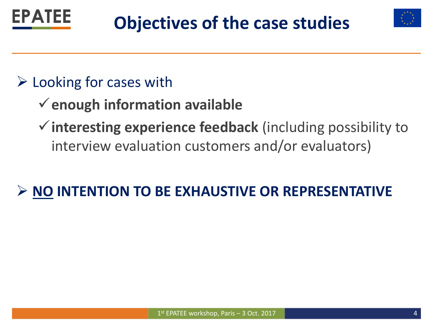



### $\triangleright$  Looking for cases with

- **enough information available**
- **interesting experience feedback** (including possibility to interview evaluation customers and/or evaluators)

## **NO INTENTION TO BE EXHAUSTIVE OR REPRESENTATIVE**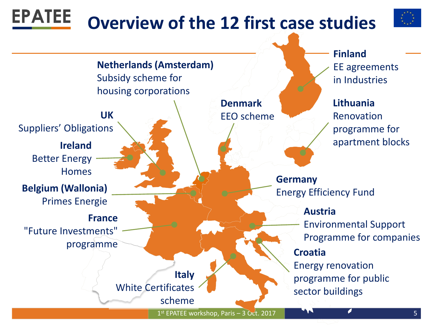#### **EPATEE Overview of the 12 first case studies**



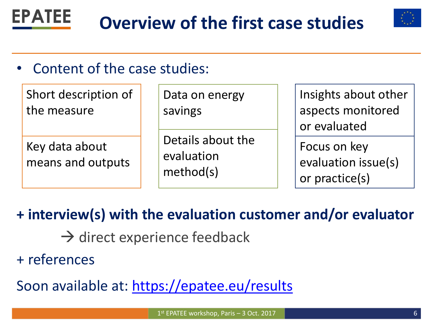



### Content of the case studies:

| Short description of<br>the measure | Data on energy<br>savings                    | Insights about other<br>aspects monitored<br>or evaluated |
|-------------------------------------|----------------------------------------------|-----------------------------------------------------------|
| Key data about<br>means and outputs | Details about the<br>evaluation<br>method(s) | Focus on key<br>evaluation issue(s)<br>or practice(s)     |

### **+ interview(s) with the evaluation customer and/or evaluator**

- $\rightarrow$  direct experience feedback
- + references

Soon available at: <https://epatee.eu/results>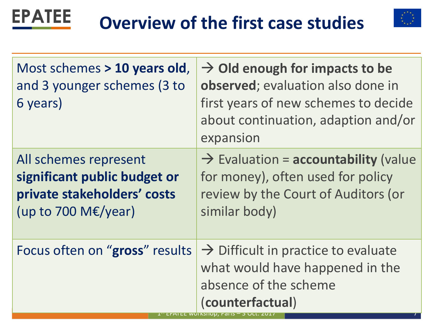



| Most schemes > 10 years old,<br>and 3 younger schemes (3 to<br>6 years)                                         | $\rightarrow$ Old enough for impacts to be<br>observed; evaluation also done in<br>first years of new schemes to decide<br>about continuation, adaption and/or<br>expansion |
|-----------------------------------------------------------------------------------------------------------------|-----------------------------------------------------------------------------------------------------------------------------------------------------------------------------|
| All schemes represent<br>significant public budget or<br>private stakeholders' costs<br>(up to 700 M $E$ /year) | $\rightarrow$ Evaluation = accountability (value<br>for money), often used for policy<br>review by the Court of Auditors (or<br>similar body)                               |
| Focus often on "gross" results                                                                                  | $\rightarrow$ Difficult in practice to evaluate<br>what would have happened in the<br>absence of the scheme<br>(counterfactual)                                             |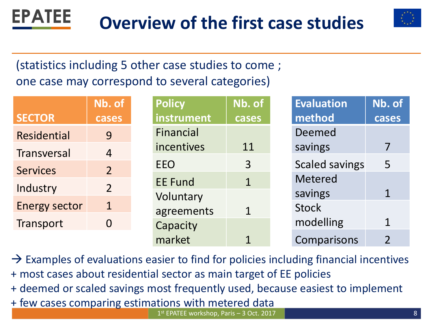



### (statistics including 5 other case studies to come ; one case may correspond to several categories)

|                      | Nb. of         | <b>Policy</b>  | Nb. of         | <b>Evaluation</b>     | Nb. of         |
|----------------------|----------------|----------------|----------------|-----------------------|----------------|
| <b>SECTOR</b>        | cases          | instrument     | cases          | method                | cases          |
| <b>Residential</b>   | 9              | Financial      |                | Deemed                |                |
| Transversal          | $\overline{4}$ | incentives     | 11             | savings               |                |
| <b>Services</b>      | 2 <sup>1</sup> | <b>EEO</b>     | 3              | <b>Scaled savings</b> | $\overline{5}$ |
|                      |                | <b>EE Fund</b> | $\mathbf{1}$   | <b>Metered</b>        |                |
| Industry             | 2 <sup>1</sup> | Voluntary      |                | savings               | $\mathbf{1}$   |
| <b>Energy sector</b> | $\mathbf{1}$   | agreements     | $\overline{1}$ | <b>Stock</b>          |                |
| Transport            | 0              | Capacity       |                | modelling             | $\overline{1}$ |
|                      |                | market         |                | Comparisons           | $\overline{2}$ |

1<sup>st</sup> EPATEE workshop, Paris – 3 Oct. 2017 **Canadian Control Control Control Control Control Control Control Control Control Control Control Control Control Control Control Control Control Control Control Control Control C**  $\rightarrow$  Examples of evaluations easier to find for policies including financial incentives + most cases about residential sector as main target of EE policies + deemed or scaled savings most frequently used, because easiest to implement + few cases comparing estimations with metered data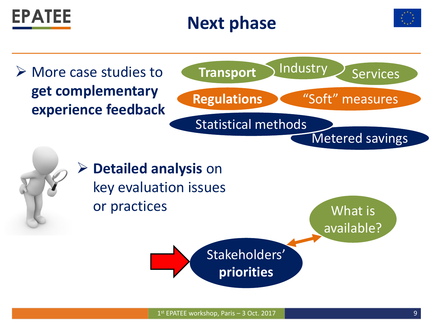





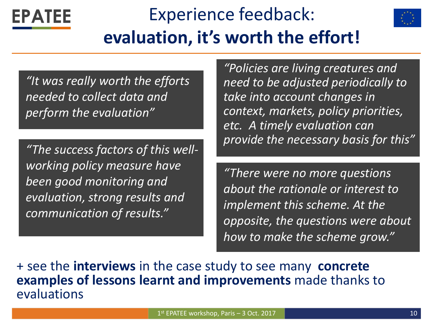# Experience feedback: **evaluation, it's worth the effort!**

*"It was really worth the efforts needed to collect data and perform the evaluation"*

**EPATEE** 

*"The success factors of this wellworking policy measure have been good monitoring and evaluation, strong results and communication of results."*

*"Policies are living creatures and need to be adjusted periodically to take into account changes in context, markets, policy priorities, etc. A timely evaluation can provide the necessary basis for this"*

*"There were no more questions about the rationale or interest to implement this scheme. At the opposite, the questions were about how to make the scheme grow."*

+ see the **interviews** in the case study to see many **concrete examples of lessons learnt and improvements** made thanks to evaluations

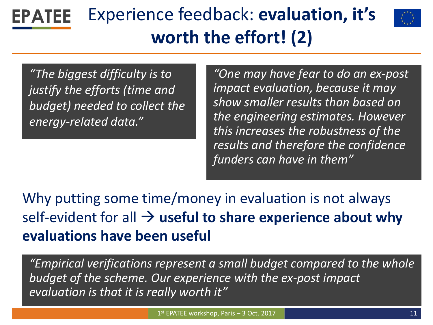#### Experience feedback: **evaluation, it's EPATEE worth the effort! (2)**



*"The biggest difficulty is to justify the efforts (time and budget) needed to collect the energy-related data."*

*"One may have fear to do an ex-post impact evaluation, because it may show smaller results than based on the engineering estimates. However this increases the robustness of the results and therefore the confidence funders can have in them"*

Why putting some time/money in evaluation is not always self-evident for all  $\rightarrow$  useful to share experience about why **evaluations have been useful**

*"Empirical verifications represent a small budget compared to the whole budget of the scheme. Our experience with the ex-post impact evaluation is that it is really worth it"*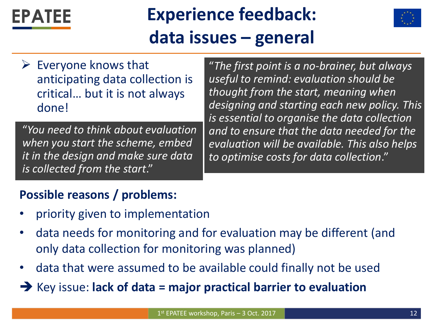# **Experience feedback: data issues – general**



 $\triangleright$  Everyone knows that anticipating data collection is critical… but it is not always done!

FPATFF

"*You need to think about evaluation when you start the scheme, embed it in the design and make sure data is collected from the start*."

"*The first point is a no-brainer, but always useful to remind: evaluation should be thought from the start, meaning when designing and starting each new policy. This is essential to organise the data collection and to ensure that the data needed for the evaluation will be available. This also helps to optimise costs for data collection*."

#### **Possible reasons / problems:**

- priority given to implementation
- data needs for monitoring and for evaluation may be different (and only data collection for monitoring was planned)
- data that were assumed to be available could finally not be used

**→** Key issue: lack of data = major practical barrier to evaluation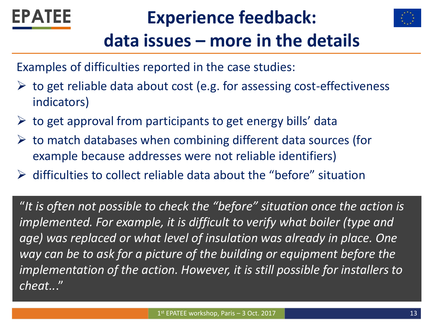

# **Experience feedback:**



# **data issues – more in the details**

Examples of difficulties reported in the case studies:

- $\triangleright$  to get reliable data about cost (e.g. for assessing cost-effectiveness indicators)
- $\triangleright$  to get approval from participants to get energy bills' data
- $\triangleright$  to match databases when combining different data sources (for example because addresses were not reliable identifiers)
- $\triangleright$  difficulties to collect reliable data about the "before" situation

"*It is often not possible to check the "before" situation once the action is implemented. For example, it is difficult to verify what boiler (type and age) was replaced or what level of insulation was already in place. One way can be to ask for a picture of the building or equipment before the implementation of the action. However, it is still possible for installers to cheat..*."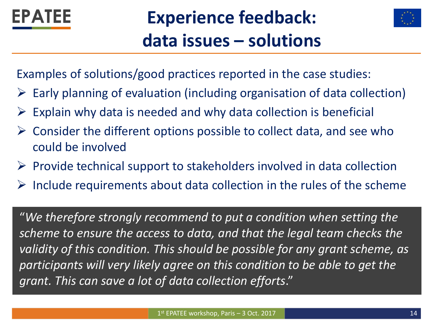

# **Experience feedback: data issues – solutions**



Examples of solutions/good practices reported in the case studies:

- $\triangleright$  Early planning of evaluation (including organisation of data collection)
- Explain why data is needed and why data collection is beneficial
- $\triangleright$  Consider the different options possible to collect data, and see who could be involved
- $\triangleright$  Provide technical support to stakeholders involved in data collection
- $\triangleright$  Include requirements about data collection in the rules of the scheme

"*We therefore strongly recommend to put a condition when setting the scheme to ensure the access to data, and that the legal team checks the validity of this condition. This should be possible for any grant scheme, as participants will very likely agree on this condition to be able to get the grant. This can save a lot of data collection efforts*."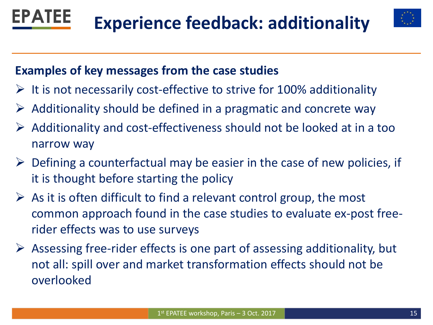



#### **Examples of key messages from the case studies**

- $\triangleright$  It is not necessarily cost-effective to strive for 100% additionality
- $\triangleright$  Additionality should be defined in a pragmatic and concrete way
- $\triangleright$  Additionality and cost-effectiveness should not be looked at in a too narrow way
- $\triangleright$  Defining a counterfactual may be easier in the case of new policies, if it is thought before starting the policy
- $\triangleright$  As it is often difficult to find a relevant control group, the most common approach found in the case studies to evaluate ex-post freerider effects was to use surveys
- $\triangleright$  Assessing free-rider effects is one part of assessing additionality, but not all: spill over and market transformation effects should not be overlooked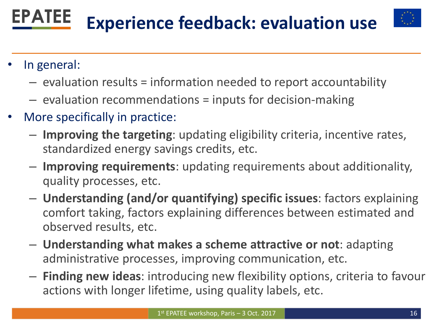#### **EPATEE Experience feedback: evaluation use**



- In general:
	- evaluation results = information needed to report accountability
	- evaluation recommendations = inputs for decision-making
- More specifically in practice:
	- **Improving the targeting**: updating eligibility criteria, incentive rates, standardized energy savings credits, etc.
	- **Improving requirements**: updating requirements about additionality, quality processes, etc.
	- **Understanding (and/or quantifying) specific issues**: factors explaining comfort taking, factors explaining differences between estimated and observed results, etc.
	- **Understanding what makes a scheme attractive or not**: adapting administrative processes, improving communication, etc.
	- **Finding new ideas**: introducing new flexibility options, criteria to favour actions with longer lifetime, using quality labels, etc.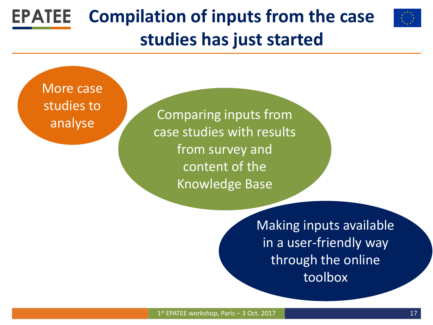#### **EPATEE Compilation of inputs from the case studies has just started**



More case studies to analyse

Comparing inputs from case studies with results from survey and content of the Knowledge Base

> Making inputs available in a user-friendly way through the online toolbox